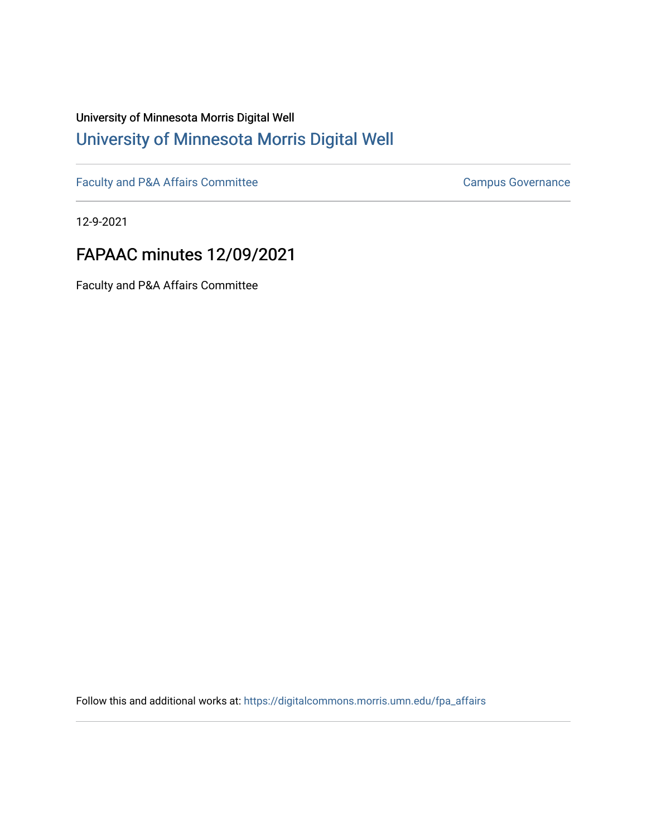# University of Minnesota Morris Digital Well [University of Minnesota Morris Digital Well](https://digitalcommons.morris.umn.edu/)

[Faculty and P&A Affairs Committee](https://digitalcommons.morris.umn.edu/fpa_affairs) [Campus Governance](https://digitalcommons.morris.umn.edu/campgov) Campus Governance

12-9-2021

# FAPAAC minutes 12/09/2021

Faculty and P&A Affairs Committee

Follow this and additional works at: [https://digitalcommons.morris.umn.edu/fpa\\_affairs](https://digitalcommons.morris.umn.edu/fpa_affairs?utm_source=digitalcommons.morris.umn.edu%2Ffpa_affairs%2F1&utm_medium=PDF&utm_campaign=PDFCoverPages)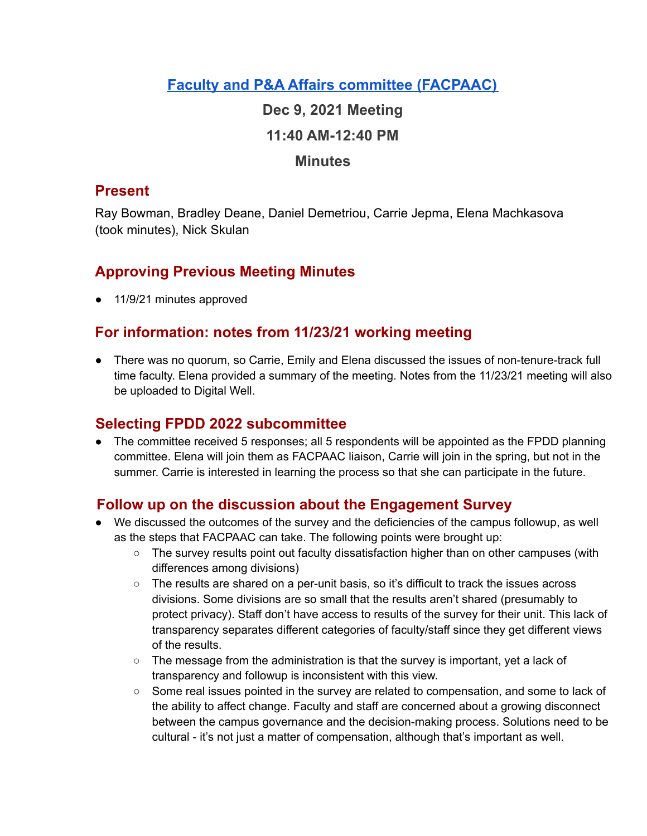## **Faculty and P&A Affairs committee [\(FACPAAC\)](https://committees.morris.umn.edu/faculty-and-pa-affairs-committee)**

**Dec 9, 2021 Meeting 11:40 AM-12:40 PM**

#### **Minutes**

### **Present**

Ray Bowman, Bradley Deane, Daniel Demetriou, Carrie Jepma, Elena Machkasova (took minutes), Nick Skulan

# **Approving Previous Meeting Minutes**

● 11/9/21 minutes approved

## **For information: notes from 11/23/21 working meeting**

● There was no quorum, so Carrie, Emily and Elena discussed the issues of non-tenure-track full time faculty. Elena provided a summary of the meeting. Notes from the 11/23/21 meeting will also be uploaded to Digital Well.

### **Selecting FPDD 2022 subcommittee**

• The committee received 5 responses; all 5 respondents will be appointed as the FPDD planning committee. Elena will join them as FACPAAC liaison, Carrie will join in the spring, but not in the summer. Carrie is interested in learning the process so that she can participate in the future.

### **Follow up on the discussion about the Engagement Survey**

- We discussed the outcomes of the survey and the deficiencies of the campus followup, as well as the steps that FACPAAC can take. The following points were brought up:
	- The survey results point out faculty dissatisfaction higher than on other campuses (with differences among divisions)
	- The results are shared on a per-unit basis, so it's difficult to track the issues across divisions. Some divisions are so small that the results aren't shared (presumably to protect privacy). Staff don't have access to results of the survey for their unit. This lack of transparency separates different categories of faculty/staff since they get different views of the results.
	- The message from the administration is that the survey is important, yet a lack of transparency and followup is inconsistent with this view.
	- Some real issues pointed in the survey are related to compensation, and some to lack of the ability to affect change. Faculty and staff are concerned about a growing disconnect between the campus governance and the decision-making process. Solutions need to be cultural - it's not just a matter of compensation, although that's important as well.